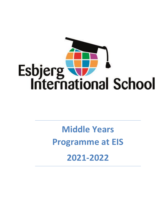

# **Middle Years Programme at EIS 2021-2022**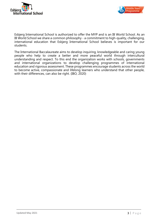



Esbjerg International School is authorized to offer the MYP and is an IB World School. As an IB World School we share a common philosophy - a commitment to high-quality, challenging, international education that Esbjerg International School believes is important for our students.

The International Baccalaureate aims to develop inquiring, knowledgeable and caring young people who help to create a better and more peaceful world through intercultural understanding and respect. To this end the organization works with schools, governments and international organizations to develop challenging programmes of international education and rigorous assessment. These programmes encourage students across the world to become active, compassionate and lifelong learners who understand that other people, with their differences, can also be right. (IBO, 2020)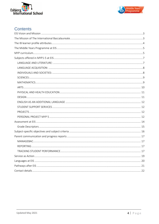



# Contents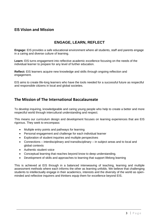### <span id="page-3-0"></span>**EIS Vision and Mission**

# **ENGAGE, LEARN, REFLECT**

**Engage:** EIS provides a safe educational environment where all students, staff and parents engage in a caring and diverse culture of learning.

**Learn:** EIS turns engagement into reflective academic excellence focusing on the needs of the individual learner to prepare for any level of further education.

**Reflect:** EIS learners acquire new knowledge and skills through ongoing reflection and engagement.

EIS aims to create life-long learners who have the tools needed for a successful future as respectful and responsible citizens in local and global societies.

# <span id="page-3-1"></span>**The Mission of The International Baccalaureate**

To develop inquiring, knowledgeable and caring young people who help to create a better and more respectful world through intercultural understanding and respect.

This means our curriculum design and development focuses on learning experiences that are EIS rigorous. They seek to encompass:

- Multiple entry points and pathways for learning
- Personal engagement and challenge for each individual learner
- Exploration of student inquiries and multiple perspectives
- Connections interdisciplinary and transdisciplinary in subject areas and to local and global contexts
- Authentic student voice
- Conceptual learning that reaches beyond know to deep understanding.
- Development of skills and approaches to learning that support lifelong learning

This is achieved at EIS through in a balanced interweaving of teaching, learning and multiple assessment methods where each informs the other as learning unfolds. We believe that challenging students to intellectually engage in their academics, interests and the diversity of the world as openminded and reflective inquirers and thinkers equip them for excellence beyond EIS.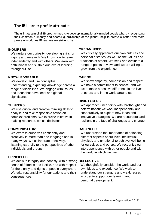# <span id="page-4-0"></span>**The IB learner profile attributes**

The ultimate aim of all IB programmes is to develop internationally minded people who, by recognizing their common humanity and shared guardianship of the planet, help to create a better and more peaceful world. As IB learners we strive to be:

#### **INQUIRERS**

We nurture our curiosity, developing skills for inquiry and research. We know how to learn independently and with others. We learn with enthusiasm and sustain our love of learning throughout life.

#### **KNOWLEDGEABLE**

We develop and use conceptual understanding, exploring knowledge across a range of disciplines. We engage with issues and ideas that have local and global significance.

#### **THINKERS**

We use critical and creative thinking skills to analyse and take responsible action on complex problems. We exercise initiative in making reasoned, ethical decisions.

#### **COMMUNICATORS**

We express ourselves confidently and creatively in more than one language and in many ways. We collaborate effectively, listening carefully to the perspectives of other individuals and groups.

#### **PRINCIPLED**

We act with integrity and honesty, with a strong **REFLECTIVE** sense of fairness and justice, and with respect for the dignity and rights of people everywhere. We take responsibility for our actions and their consequences.

#### **OPEN-MINDED**

We critically appreciate our own cultures and personal histories, as well as the values and traditions of others. We seek and evaluate a range of points of view, and we are willing to grow from the experience.

#### **CARING**

We show empathy, compassion and respect. We have a commitment to service, and we act to make a positive difference in the lives of others and in the world around us.

#### **RISK-TAKERS**

We approach uncertainty with forethought and determination; we work independently and cooperatively to explore new ideas and innovative strategies. We are resourceful and resilient in the face of challenges and change.

#### **BALANCED**

We understand the importance of balancing different aspects of our lives-intellectual, physical, and emotional-to achieve well-being for ourselves and others. We recognize our interdependence with other people and with the world in which we live.

We thoughtfully consider the world and our own ideas and experience. We work to understand our strengths and weaknesses in order to support our learning and personal development.

"© International Baccalaureate Organization, 2013"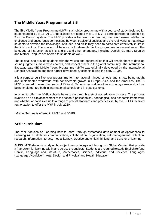### <span id="page-5-0"></span>**The Middle Years Programme at EIS**

The IB's Middle Years Programme (MYP) is a holistic programme with a course of study designed for students aged 11 to 16. At EIS the classes are named MYP1 to MYP5 corresponding to grades 5 to 9 in the Danish system. The MYP provides a framework of learning that emphasizes intellectual challenge and encourages connections between traditional subjects and the real world. It that allows students to develop the knowledge, attitudes, and skills they need to participate effectively in life in the 21st century. The concept of balance is fundamental to the programme in several ways. The language of instruction at EIS is English, and other languages, including Danish, German, Spanish and Mother Tongue\* are offered to students as well.

The IB goal is to provide students with the values and opportunities that will enable them to develop sound judgments, make wise choices, and respect others in the global community. The International Baccalaureate (IB) Middle Years Programme (MYP) was originally developed by the International Schools Association and then further developed by schools during the early 1990s.

It is a purpose-built five-year programme for international-minded schools and is now being taught and implemented worldwide, with considerable growth in Europe, Asia, and the Americas. The IB MYP is geared to meet the needs of IB World Schools, as well as other school systems and is thus being implemented both in international schools and in state systems.

In order to offer the MYP, schools have to go through a strict accreditation process. The process involves an on-site assessment of the school's philosophical, pedagogical, and academic framework, and whether or not it lives up to a range of pre-set standards and practices set by the IB. EIS received authorization to offer the MYP in July 2020.

<span id="page-5-1"></span>\*Mother Tongue is offered in MYP4 and MYP5.

#### **MYP curriculum**

The MYP focuses on "learning how to learn" through systematic development of Approaches to Learning (ATL) skills for communication, collaboration, organization, self-management, reflection, research, information literacy, media literacy, creative and critical thinking, and transfer of learning.

At EIS, MYP students' study eight subject groups integrated through six Global Context that provide a framework for learning within and across the subjects. Students are required to study English (or/and Danish) Language and Literature, Mathematics, Science, Individual and Societies, Languages (Language Acquisition), Arts, Design and Physical and Health Education.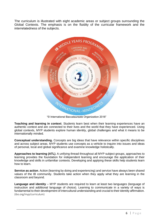The curriculum is illustrated with eight academic areas or subject groups surrounding the Global Contexts. The emphasis is on the fluidity of the curricular framework and the interrelatedness of the subjects.



"© International Baccalaureate Organization 2018"

**Teaching and learning in context**. Students learn best when their learning experiences have an authentic context and are connected to their lives and the world that they have experienced. Using global contexts, MYP students explore human identity, global challenges and what it means to be internationally minded.

**Conceptual understanding.** Concepts are big ideas that have relevance within specific disciplines and across subject areas. MYP students use concepts as a vehicle to inquire into issues and ideas of personal, local and global significance and examine knowledge holistically.

**Approaches to learning (ATL)**. A unifying thread throughout all MYP subject groups, approaches to learning provides the foundation for independent learning and encourage the application of their knowledge and skills in unfamiliar contexts. Developing and applying these skills help students learn how to learn.

**Service as action**. Action (learning by doing and experiencing) and service have always been shared values of the IB community. Students take action when they apply what they are learning in the classroom and beyond.

Language and identity – MYP students are required to learn at least two languages (language of instruction and additional language of choice). Learning to communicate in a variety of ways is fundamental to their development of intercultural understanding and crucial to their identity affirmation. (ibo.org/myp/curriculum)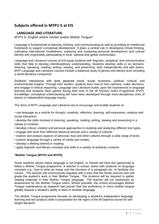# <span id="page-7-0"></span>**Subjects offered in MYP1-5 at EIS**

#### <span id="page-7-1"></span>**LANGUAGE AND LITERATURE:**

MYP1-5: English and/or Danish and/or Mother Tongue\*

Language is fundamental to learning, thinking, and communicating as well as providing an intellectual framework to support conceptual development. It plays a central role in developing critical thinking, cultivating international mindedness, exploring and sustaining personal development and cultural identity and responsibly participating in local, national and global communities.

Language and Literature courses at EIS equip students with linguistic, analytical, and communicative skills that help to develop interdisciplinary understanding. Students develop skills in six domains: listening, speaking, reading, writing, viewing, and presenting, both independently and with others. MYP Language and Literature courses include a balanced study of genres and literary texts including a world literature component.

Students' interactions with texts generate moral, social, economic, political, cultural, and environmental insights. Through their studies, students learn how to form opinions, make decisions, and engage in ethical reasoning. Language and Literature builds upon the experiences in language learning that students have gained during their time in the IB Primary Years Programme (PYP). Knowledge, conceptual understanding will have been developed through trans-disciplinary units of inquiry or independent language inquiry.

The Aims of MYP Language and Literature are to encourage and enable students to:

• use language as a vehicle for thought, creativity, reflection, learning, self-expression, analysis and social interaction;

• develop the skills involved in listening, speaking, reading, writing, viewing and presenting in a variety of contexts;

- develop critical, creative and personal approaches to studying and analyzing different text types,
- engage with texts from different historical periods and a variety of cultures;
- explore and analyze aspects of personal, host and other cultures through a wide range of texts;
- explore language through a variety of media and modes;
- develop a lifelong interest in reading;
- apply linguistic and literary concepts and skills in a variety of authentic contexts.

#### \***Mother Tongue (MYP4 and MYP5)**

Some students whose native language is not English, or Danish will have the opportunity to follow a Mother Tongue programme. A teacher in school, works with students on language concepts e.g., how to write an essay and the structure of a paragraph etc. to facilitate this course. This teacher will communicate regularly with a tutor that the family sources who will grade the student's work in their Mother Tongue. The students will be required to gather reading materials in their Mother Tongue language. The teacher will run workshops on assessment for the Mother Tongue tutors. Where possible, the school encourages Mother Tongue maintenance as research has proven that low proficiency in one's mother tongue greatly impacts a student's ability to learn in another language.

The Mother Tongue programme focuses on developing a student's independent language learning and text analysis skills in preparation for the rigors of the IB Diploma course for selftaught literature.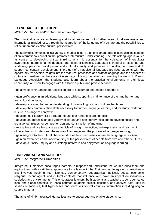#### <span id="page-8-0"></span>**LANGUAGE ACQUISITION:**

#### MYP 1-5: Danish and/or German and/or Spanish

The principal rationale for learning additional languages is to further intercultural awareness and international mindedness, through the acquisition of the language of a culture and the possibilities to reflect upon and explore cultural perspectives.

The ability to communicate in a variety of modes in more than one language is essential to the concept of an international education that promotes intercultural understanding. The role of language is valued as central to developing critical thinking, which is essential for the cultivation of intercultural awareness, international-mindedness and global citizenship. Language is integral to exploring and sustaining personal development and cultural identity and provides an intellectual framework to support conceptual development. The study of an additional language provides students with the opportunity to: develop insights into the features, processes and craft of language and the concept of culture and realize that there are diverse ways of living, behaving and viewing the world. In Danish Language Acquisition the students also learn about the practical environments in their local community, and how to engage with the Danish public and private services.

The aims of MYP Language Acquisition are to encourage and enable students to:

• gain proficiency in an additional language while supporting maintenance of their mother tongue and cultural heritage;

• develop a respect for and understanding of diverse linguistic and cultural heritages;

• develop the communication skills necessary for further language learning and for study, work and leisure in a range of contexts;

• develop multiliteracy skills through the use of a range of learning tools;

• develop an appreciation of a variety of literary and non-literary texts and to develop critical and creative techniques for comprehension and construction of meaning;

• recognize and use language as a vehicle of thought, reflection, self-expression and learning in other subjects • Understand the nature of language and the process of language learning;

- gain insight into the cultural characteristics of the communities where the language is spoken;
- gain an awareness and understanding of the perspectives of people from own and other cultures;
- develop curiosity, inquiry and a lifelong interest in and enjoyment of language learning.

#### <span id="page-8-1"></span>**INDIVIDUALS AND SOCIETIES:**

MYP 1-5: Integrated Humanities

Integrated Humanities encourages learners to respect and understand the world around them and equips them with a skill base appropriate for a learner in the 21st century. Integrated Humanities at EIS involves inquiring into historical, contemporary, geographical, political, social, economic, religious, technological, and cultural contexts that influence and have an impact on individuals, societies, and environments. This encourages learners, both students and teachers to consider varied local and global contexts. In these courses' students collect, describe, and analyze data used in studies of societies, test hypotheses and learn to interpret complex information including original source material.

The aims of MYP Integrated Humanities are to encourage and enable students to: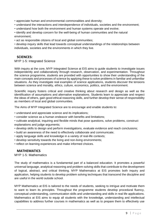• appreciate human and environmental commonalities and diversity;

- understand the interactions and interdependence of individuals, societies and the environment;
- understand how both the environment and human systems operate and evolve;

• identify and develop concern for the well-being of human communities and the natural environment;

• act as responsible citizens of local and global communities;

• develop inquiry skills that lead towards conceptual understandings of the relationships between individuals, societies and the environments in which they live.

#### <span id="page-9-0"></span>**SCIENCES:**

MYP 1-5: Integrated Science

With inquiry at the core, MYP Integrated Science at EIS aims to guide students to investigate issues independently and collaboratively through research, observation, and experimentation. Throughout the science programme, students are provided with opportunities to show their understanding of the main concepts and processes of science by applying these to solve problems in familiar and unfamiliar situations. As they investigate real examples of science applications, students discover the tensions between science and morality, ethics, culture, economics, politics, and the environment.

Scientific inquiry fosters critical and creative thinking about research and design as well as the identification of assumptions and alternative explanations. Students learn to appreciate and respect the ideas of others, gain good ethical reasoning skills, and further develop their sense of responsibility as members of local and global communities.

The Aims of MYP Integrated Science are to encourage and enable students to:

- understand and appreciate science and its implications;
- consider science as a human endeavor with benefits and limitations;
- cultivate analytical, inquiring and flexible minds that pose questions, solve problems, construct explanations and judge arguments;
- develop skills to design and perform investigations, evaluate evidence and reach conclusions;
- build an awareness of the need to effectively collaborate and communicate;
- apply language skills and knowledge in a variety of real-life contexts;
- develop sensitivity towards the living and non-living environments;
- reflect on learning experiences and make informed choices.

#### <span id="page-9-1"></span>**MATHEMATICS**

MYP 1-5: Mathematics

The study of mathematics is a fundamental part of a balanced education. It promotes a powerful universal language, analytical reasoning and problem-solving skills that contribute to the development of logical, abstract, and critical thinking. MYP Mathematics at EIS promotes both inquiry and application, helping students to develop problem solving techniques that transcend the discipline and are useful in the world outside school.

MYP Mathematics at EIS is tailored to the needs of students, seeking to intrigue and motivate them to want to learn its principles. Throughout the programme students develop procedural fluency, conceptual understanding, communication skills and understanding and skills in real life applications. Mathematics at EIS aims to equip all students with the knowledge, understanding and intellectual capabilities to address further courses in mathematics as well as to prepare them to effectively use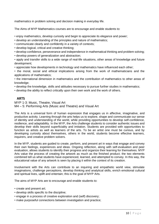mathematics in problem solving and decision making in everyday life.

The Aims of MYP Mathematics courses are to encourage and enable students to:

• enjoy mathematics, develop curiosity and begin to appreciate its elegance and power;

- develop an understanding of the principles and nature of mathematics;
- communicate clearly and confidently in a variety of contexts;
- develop logical, critical and creative thinking;
- develop confidence, perseverance and independence in mathematical thinking and problem solving;
- develop powers of generalization and abstraction;
- apply and transfer skills to a wide range of real-life situations, other areas of knowledge and future development;
- appreciate how developments in technology and mathematics have influenced each other;

• the moral, social and ethical implications arising from the work of mathematicians and the applications of mathematics;

• the international dimension in mathematics and the contribution of mathematics to other areas of knowledge;

• develop the knowledge, skills and attitudes necessary to pursue further studies in mathematics;

• develop the ability to reflect critically upon their own work and the work of others.

#### <span id="page-10-0"></span>**ARTS**

MYP 1-3: Music, Theatre, Visual Art M4 – 5: Performing Arts (Music and Theatre) and Visual Art

The Arts is a universal form of human expression that engages us in affective, imaginative, and productive activity. Learning through the arts helps us to explore, shape and communicate our sense of identity and understanding of the world, while providing opportunities to develop self-confidence, resilience, and adaptability. In the MYP, the Arts challenge students to consider authentic issues and develop their skills beyond superficiality and imitation. Students are provided with opportunities to function as artists as well as learners of the arts. To be an artist one must be curious, and by developing curiosity about themselves, others in the world, students become effective learners, inquirers, and creative problem solvers.

In the MYP, students are guided to create, perform, and present art in ways that engage and convey their own feelings, experiences and ideas. Ongoing reflection, along with self-evaluation and peer evaluation, allows students to identify their progress and organize their learning for themselves. MYP Arts value the process of creating the artwork as much as the finished product; the two elements combined tell us what students have experienced, learned, and attempted to convey. In this way, the educational value of any artwork is seen by placing it within the context of its creation.

Involvement with the Arts can contribute to an inquiring and empathetic world view, stimulate imaginations, challenge perceptions, develop thinking and analytical skills, enrich emotional cultural and spiritual lives, uplift and entertain; this is the goal of MYP Arts.

The aims of MYP Arts are to encourage and enable students to:

- create and present art;
- develop skills specific to the discipline;
- engage in a process of creative exploration and (self) discovery;
- make purposeful connections between investigation and practice;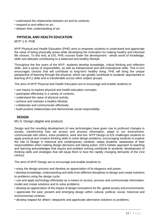- understand the relationship between art and its contexts;
- respond to and reflect on art;
- deepen their understanding of art.

#### <span id="page-11-0"></span>**PHYSICAL AND HEALTH EDUCATION**

MYP 1-5: PHE

MYP Physical and Health Education (PHE) aims to empower students to understand and appreciate the value of being physically active while developing the motivation for making healthy and informed life choices. To this end, at EIS, PHE courses foster the development - whole world of knowledge, skills and attitudes contributing to a balanced and healthy lifestyle.

Throughout the five years of the MYP, students develop knowledge, critical thinking and reflection skills, and a sense of responsibility, as well as interpersonal and self-motivational skills. This in turn encourages choices that will contribute to long-term healthy living. PHE will bring the unique perspective of learning through the physical, which can greatly contribute to students' approaches to learning (ATL) skills and is transferable across other subject groups.

The aims of MYP Physical and Health Education are to encourage and enable students to:

- use inquiry to explore physical and health education concepts;
- participate effectively in a variety of contexts;
- understand the value of physical activity;
- achieve and maintain a healthy lifestyle;
- collaborate and communicate effectively;
- build positive relationships and demonstrate social responsibility.

#### <span id="page-11-1"></span>**DESIGN**

M1-5: Design (digital and product)

Design and the resulting development of new technologies have given rise to profound changes in society, transforming how we access and process information, adapt to our environment, communicate with others, solve problems, work and live. MYP Design at EIS challenges students to apply practical and creative thinking skills to solve design problems; encouraging students to explore the role of Design in historical and contemporary contexts; raises students' awareness of their responsibilities when making design decisions and taking action. EIS's holistic approach to teaching and learning acknowledges that inquiry and problem solving contribute to students' development of thinking skills and strategies that will equip them to face the rapidly changing demands of the 21st century.

The aims of MYP Design are to encourage and enable students to:

• enjoy the design process and develop an appreciation of its elegance and power;

• develop knowledge, understanding and skills from different disciplines to design and create solutions to problems using the design cycle;

• use and apply technology effectively as a means to access, process and communicate information, model and create solutions and to solve problems;

• develop an appreciation of the impact of design innovations for life, global society and environments;

• appreciate the past, present and emerging design within cultural, political, social, historical and environmental contexts;

• develop respect for others' viewpoints and appreciate alternative solutions to problems;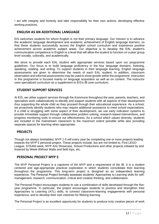• act with integrity and honesty and take responsibility for their own actions, developing effective working practices.

#### <span id="page-12-0"></span>**ENGLISH AS AN ADDITIONAL LANGUAGE**

EIS welcomes students for whom English is not their primary language. Our mission is to advance the academic language development and academic achievement of English language learners, so that these students successfully access the English school curriculum and experience positive achievement across academic subject areas. Our objective is to develop the EAL student's communicative competence in English to a level that will allow the student to function on a peer group level socially, culturally, and academically.

We strive to provide each EAL student with appropriate services based upon our programme guidelines. Our focus is to build language proficiency in the four language domains: listening, speaking, reading, and writing. To support students in their language learning, English language assessments are given to determine the needs of each EAL student. In addition, classroom observation and informal assessments may be used to show growth within the programme. Instruction in this programme is focused mainly on language acquisition as well as on content. The instructor uses specialized curriculum as a supplement to EIS's IB core curriculum.

#### <span id="page-12-1"></span>**STUDENT SUPPORT SERVICES**

At EIS, we utilise support services through the Kommune throughout the year, parents, teachers, and specialists work collaboratively to identify and support students with all aspects of their development thus supporting the whole child as they proceed through their educational experience. As a school, we proactively identify students who may require additional assistance to meet school expectations. If a child is struggling with some aspect of their development, we use early indication systems to provide immediate support through collaborative problem solving, research-based interventions, and progress monitoring tools to ensure our effectiveness. As a school which values diversity, students are included in the mainstream classroom to the maximum extent possible while also providing separate spaces for learning when appropriate.

#### <span id="page-12-2"></span>**PROJECTS**

Though not always timetabled, MYP 1-5 will every year be completing one or more projects leading towards the MYP 5 personal project. These projects include, but are not limited to, First LEGO League, STEAM week, MYP Arts Showcase, School Productions and other projects initiated by and fostered by Week Without Walls and field trips, etc.

#### <span id="page-12-3"></span>**PERSONAL PROJECT MYP 5**

The MYP Personal Project is a capstone of the MYP and a requirement of the IB. It is a student centered and age-appropriate practical exploration in which students consolidate their learning throughout the programme. This long-term project is designed as an independent learning experience. The Personal Project formally assesses students' Approaches to Learning skills for selfmanagement, research, communication, critical and creative thinking, and collaboration.

The Personal Project encourages students to use a combination of skills developed through the fiveyear programme. In particular, the project encourages students to practice and strengthen their Approaches to Learning (ATL) skills, to connect classroom-learning engagements with personal experience, and to develop their own interests for lifelong learning.

The Personal Project is an excellent opportunity for students to produce truly creative pieces of work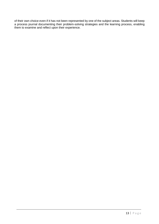of their own choice even if it has not been represented by one of the subject areas. Students will keep a process journal documenting their problem-solving strategies and the learning process, enabling them to examine and reflect upon their experience.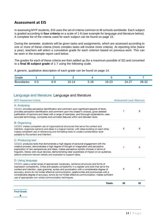#### <span id="page-14-0"></span>**Assessment at EIS**

In assessing MYP students, EIS uses the set of criteria common to IB schools worldwide. Each subject is graded according to **four criteria** on a scale of 1-8 (see example for language and literature below). A complete list of the criteria used for each subject can be found on page 15.

During the semester, students will be given tasks and assignments, which are assessed according to one or more of these criteria (more complex tasks will involve more criteria). At reporting time (twice a year), teachers will select a cumulative grade for each criterion based on previous work. This can be seen in the example report card below.

The grades for each of these criteria are then added up (for a maximum possible of 32) and converted to a **final IB subject grade** of 1-7 using the following scale.

A generic, qualitative description of each grade can be found on page 14.

| Grade             |     |       |                                  |              |                               |                                  |       |
|-------------------|-----|-------|----------------------------------|--------------|-------------------------------|----------------------------------|-------|
| <b>Boundaries</b> | U-5 | $6-9$ | 10-l<br>$\overline{\phantom{a}}$ | ∽-<br>C<br>ີ | $\sim$<br><b>Q-1</b><br>ں ے-ت | $\sim$<br>$2\Delta$ - .<br>–∼∠ ו | 28-32 |

#### Language and literature: Language and literature

| Achievement Level Maximum |                                                                                                                                                                                                                |
|---------------------------|----------------------------------------------------------------------------------------------------------------------------------------------------------------------------------------------------------------|
|                           |                                                                                                                                                                                                                |
| 7                         | 8                                                                                                                                                                                                              |
|                           |                                                                                                                                                                                                                |
| 6                         | 8                                                                                                                                                                                                              |
|                           |                                                                                                                                                                                                                |
| $\mathcal{L}$             | 8                                                                                                                                                                                                              |
|                           |                                                                                                                                                                                                                |
| 6                         | 8                                                                                                                                                                                                              |
| 26                        | 32                                                                                                                                                                                                             |
|                           | linguistic, literary and visual devices, demonstrating clear awareness of impact on an audience,<br>considerable degree of accuracy; errors do not hinder effective communication, makes sufficient<br>Totals: |

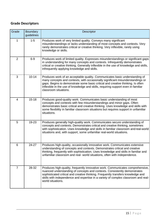# <span id="page-15-0"></span>**Grade Descriptors**

| Grade          | <b>Boundary</b><br>guidelines | <b>Descriptor</b>                                                                                                                                                                                                                                                                                                                                              |
|----------------|-------------------------------|----------------------------------------------------------------------------------------------------------------------------------------------------------------------------------------------------------------------------------------------------------------------------------------------------------------------------------------------------------------|
| 1              | $1 - 5$                       | Produces work of very limited quality. Conveys many significant<br>misunderstandings or lacks understanding of most concepts and contexts. Very<br>rarely demonstrates critical or creative thinking. Very inflexible, rarely using<br>knowledge or skills.                                                                                                    |
| $\overline{2}$ | $6-9$                         | Produces work of limited quality. Expresses misunderstandings or significant gaps<br>in understanding for many concepts and contexts. Infrequently demonstrates<br>critical or creative thinking. Generally inflexible in the use of knowledge and skills,<br>infrequently applying knowledge and skills.                                                      |
| 3              | $10 - 14$                     | Produces work of an acceptable quality. Communicates basic understanding of<br>many concepts and contexts, with occasionally significant misunderstandings or<br>gaps. Begins to demonstrate some basic critical and creative thinking. Is often<br>inflexible in the use of knowledge and skills, requiring support even in familiar<br>classroom situations. |
| 4              | $15 - 18$                     | Produces good-quality work. Communicates basic understanding of most<br>concepts and contexts with few misunderstandings and minor gaps. Often<br>demonstrates basic critical and creative thinking. Uses knowledge and skills with<br>some flexibility in familiar classroom situations but requires support in unfamiliar<br>situations.                     |
| 5              | 19-23                         | Produces generally high-quality work. Communicates secure understanding of<br>concepts and contexts. Demonstrates critical and creative thinking, sometimes<br>with sophistication. Uses knowledge and skills in familiar classroom and real-world<br>situations and, with support, some unfamiliar real-world situations.                                     |
| 6              | 24-27                         | Produces high-quality, occasionally innovative work. Communicates extensive<br>understanding of concepts and contexts. Demonstrates critical and creative<br>thinking, frequently with sophistication. Uses knowledge and skills in familiar and<br>unfamiliar classroom and real- world situations, often with independence.                                  |
| $\overline{7}$ | 28-32                         | Produces high-quality, frequently innovative work. Communicates comprehensive,<br>nuanced understanding of concepts and contexts. Consistently demonstrates<br>sophisticated critical and creative thinking. Frequently transfers knowledge and<br>skills with independence and expertise in a variety of complex classroom and real-<br>world situations.     |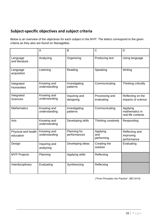# <span id="page-16-0"></span>**Subject-specific objectives and subject criteria**

Below is an overview of the objectives for each subject in the MYP. The letters correspond to the given criteria as they also are found on ManageBac.

|                                  | A                            | B                            | $\overline{C}$                | D                                                |
|----------------------------------|------------------------------|------------------------------|-------------------------------|--------------------------------------------------|
| Language<br>and literature       | Analyzing                    | Organizing                   | Producing text                | Using language                                   |
| Language<br>acquisition          | Listening                    | Reading                      | Speaking                      | Writing                                          |
| Integrated<br><b>Humanities</b>  | Knowing and<br>understanding | Investigating<br>patterns    | Communicating                 | Thinking critically                              |
| Integrated<br><b>Sciences</b>    | Knowing and<br>understanding | Inquiring and<br>designing   | Processing and<br>evaluating  | Reflecting on the<br>impacts of science          |
| <b>Mathematics</b>               | Knowing and<br>understanding | Investigating<br>patterns    | Communicating                 | Applying<br>mathematics in<br>real-life contexts |
| Arts                             | Knowing and<br>understanding | Developing skills            | Thinking creatively           | Responding                                       |
| Physical and health<br>education | Knowing and<br>understanding | Planning for<br>performances | Applying<br>and<br>performing | Reflecting and<br>improving<br>performance       |
| Design                           | Inquiring and<br>analyzing   | Developing ideas             | Creating the<br>solution      | Evaluating                                       |
| <b>MYP Projects</b>              | Planning                     | Applying skills              | Reflecting                    |                                                  |
| Interdisciplinary                | Evaluating                   | Synthesizing                 | Reflecting                    |                                                  |

*("From Principles into Practice", IBO 2014)*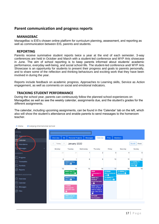#### <span id="page-17-0"></span>**Parent communication and progress reports**

#### <span id="page-17-1"></span>**MANAGEBAC**

ManageBac is EIS's chosen online platform for curriculum planning, assessment, and reporting as well as communication between EIS, parents and students.

#### <span id="page-17-2"></span>**REPORTING**

Parents receive summative student reports twice a year at the end of each semester. 3-way conferences are held in October and March with a student-led conference and MYP Arts showcase in June. The aim of school reporting is to keep parents informed about students' academic performance, everyday well-being, and social school life. The student-led conference and/ MYP Arts Showcase is an opportunity for students to present their progress and goals to parents personally, and to share some of the reflection and thinking behaviours and exciting work that they have been involved in during the year.

Reports include feedback on academic progress, Approaches to Learning skills, Service as Action engagement, as well as comments on social and emotional indicators.

#### <span id="page-17-3"></span>**TRACKING STUDENT PERFORMANCE**

During the school year, parents can continuously follow the planned school experiences on ManageBac as well as see the weekly calendar, assignments due, and the student's grades for the different assignments.

The calendar, including upcoming assignments, can be found in the 'Calendar' tab on the left, which also will show the student's attendance and enable parents to send messages to the homeroom teacher.

| $\equiv$ Menu<br>A Esbjerg International School |            |                                            |                 |                                                          |                                             |                                     |                                |
|-------------------------------------------------|------------|--------------------------------------------|-----------------|----------------------------------------------------------|---------------------------------------------|-------------------------------------|--------------------------------|
| <b>GENERAL</b>                                  |            |                                            |                 |                                                          |                                             |                                     |                                |
|                                                 | Overview   | <b>SA</b><br><b>Personal Projects</b>      | <b>Messages</b> | Calendar                                                 | <b>Files</b>                                | <b>Members</b>                      |                                |
| 団<br>Calendar<br>Attendance                     | Today<br>≺ | January 2020<br>$\rightarrow$              |                 |                                                          |                                             |                                     | Month<br>Week                  |
| Messages                                        | Monday     | Tuesday                                    | Wednesday       | Thursday                                                 | Friday                                      | Saturday                            | Sunday                         |
| <b>ACADEMICS</b>                                | 30         | 31                                         | 1               | $\overline{2}$                                           | 3                                           | 4                                   | 5                              |
| Progress                                        |            | $\overline{7}$<br>6                        | 8               | 9                                                        | 10                                          | 11                                  | 12                             |
| Timetables                                      |            | <b>9AM Spelling</b><br>test $12o$          |                 |                                                          |                                             |                                     | 11:55PM FT-<br>Semana2-        |
| <b>Portfolio</b><br><b>Reports</b>              | 13         | 14                                         | 15              | 16                                                       | 17                                          | 18                                  | <b>SWAY</b> <sup>O</sup><br>19 |
| <b>B PARENTS ASSOCIATION</b>                    |            | 9AM Ideer til<br>essay ark 23 <sup>6</sup> |                 | <b>9AM</b><br>Læseprøve 4<br>$\bullet$                   | 9:20AM<br>Macromolecule<br>Lab <sub>o</sub> | 11:55PM FT-<br>Semana3 <sup>O</sup> |                                |
| Overview                                        |            | <b>9AM Spelling</b><br>test $13o$          |                 | <b>9AM Nazi</b><br><b>Medical</b>                        | 11:55PM FT-<br>Semana2-3 <sup>0</sup>       |                                     |                                |
| alendar                                         |            |                                            |                 | Experimentatio<br>$n$ $\odot$                            |                                             |                                     |                                |
| Aessages                                        |            | 1:15PM<br>Propaganda<br><b>GRASPS task</b> |                 | <b>9AM Report on</b><br>what we have<br>read in class in |                                             |                                     |                                |
| Files                                           |            | ക                                          |                 | <b>Aug-Dec 2019</b><br>$\bullet$                         |                                             |                                     |                                |
|                                                 |            | <b>2PM Cultural</b><br>production          |                 | 9:15AM<br>Participation -                                |                                             |                                     |                                |
|                                                 |            |                                            |                 |                                                          |                                             |                                     |                                |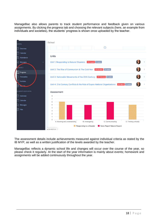ManageBac also allows parents to track student performance and feedback given on various assignments. By clicking the progress tab and choosing the relevant subjects (here, an example from individuals and societies), the students' progress is shown once uploaded by the teacher.



The assessment details include achievements measured against individual criteria as stated by the IB MYP, as well as a written justification of the levels awarded by the teacher.

ManageBac reflects a dynamic school life and changes will occur over the course of the year, so please [check it regularly. At the start of the year information is mainly about events; h](https://www.dropbox.com/s/t9kns4eso413ifq/MB%20tutorial%201.mp4?dl=0%20%20)omework and assignments will be added continuously throughout the year.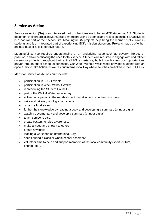### <span id="page-19-0"></span>**Service as Action**

Service as Action (SA) is an integrated part of what it means to be an MYP student at EIS. Students document their progress on ManageBac where providing evidence and reflection on their SA activities is a natural part of their school life. Meaningful SA projects help bring the learner profile alive in students and is an integrated part of experiencing EIS's mission statement. Projects may be of either an individual or a collaborative nature.

Meaningful service requires understanding of an underlying issue such as poverty, literacy or pollution, and authenticating the need for this service. Students are required to engage with and reflect on service projects throughout their entire MYP experience, both through classroom opportunities and/or through out of school experiences. Our Week Without Walls week provides students with an opportunity to take Action, as well as our International Day where activities are linked to the UN SDG's.

Ideas for Service as Action could include:

- participation in LEGO events;
- participation in Week Without Walls;
- representing the Student Council;
- part of the Walk 4 Water service day;
- active participation in the refurbishment day at school or in the community;
- write a short story or blog about a topic;
- organize fundraisers;
- further their knowledge by reading a book and developing a summary (print or digital);
- watch a documentary and develop a summary (print or digital);
- teach someone else;
- create posters to raise awareness;
- make a video and show it to others;
- create a website;
- leading a workshop at International Day;
- speak during a class or whole school assembly;
- volunteer time to help and support members of the local community (sport, culture, church, etc.).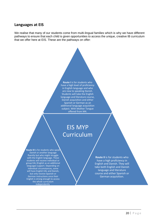#### <span id="page-20-0"></span>**Languages at EIS**

We realise that many of our students come from multi-lingual families which is why we have different pathways to ensure that each child is given opportunities to access the unique, creative IB curriculum that we offer here at EIS. These are the pathways on offer:



# EIS MYP Curriculum

**Route III** is for students who speak Danish or another language fluently but who might struggle with the English language. These students will receive individual or group EAL (English as an additional language) support. Depending on individual circumstances, some will have English EAL and Danish, but only receive Spanish or German instructions once their English is strong enough to access the whole curriculum independently.

**Route II** is for students who have a high proficiency in English and Danish. They will take both English and Danish language and literature course and either Spanish or German acquisition.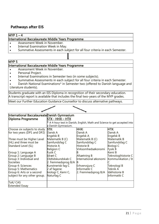# <span id="page-21-0"></span>**Pathways after EIS**

#### $MYP 1 - 4$

#### International Baccalaureate Middle Years Programme

- Assessment Week in November.
- Internal Examination Week in May.
- Summative Assessments in each subject for all four criteria in each Semester.

#### MYP 5

#### International Baccalaureate Middle Years Programme

- Assessment Week in November.
- Personal Project.
- Internal Examinations in Semester two (in some subjects).
- Summative Assessments in each subject for all four criteria in each Semester.
- Danish National Examinations\* in Semester two (offered to Danish language and
- Literature students).

Students graduate with an EIS Diploma in recognition of their secondary education. A transcript report is available that includes the final two-years of the MYP grades.

Meet our Further Education Guidance Counsellor to discuss alternative pathways.

| International BaccalaureateDanish Gymnasium |                     |                                                                             |                     |  |  |  |
|---------------------------------------------|---------------------|-----------------------------------------------------------------------------|---------------------|--|--|--|
| Diploma Programme                           | STX - HHX – HTX     |                                                                             |                     |  |  |  |
|                                             |                     | $*$ A 4-hour test in Danish, English, Math and Science to get accepted into |                     |  |  |  |
|                                             | a Danish Gymnasium. |                                                                             |                     |  |  |  |
| Choose six subjects to study                | STX:                | HHX:                                                                        | HTX:                |  |  |  |
| for two years (DP1 and DP2)                 | Dansk A             | Dansk A                                                                     | Dansk A             |  |  |  |
|                                             | Engelsk B           | Engelsk A                                                                   | Engelsk B           |  |  |  |
| Three must be Higher Level                  | Matematik B (C)     | Matematik B (C)                                                             | Matematik B         |  |  |  |
| (HL) and three must be                      | Samfundsfag C       | Samfundsfag C                                                               | Samfundsfag C       |  |  |  |
| Standard Level (SL)                         | Historie A          | Historie B                                                                  | <b>Biologi C</b>    |  |  |  |
|                                             | <b>Religion C</b>   | Virksomhedsøkonomi                                                          | Fysik B             |  |  |  |
| Group 1: Language A                         | Fysik C             |                                                                             | Kemi B              |  |  |  |
| Group 2: Language B                         | Idræt C             | Afsætning B                                                                 | Teknologihistorie C |  |  |  |
| Group 3: Individual and                     | Oldtidskundskab C   | International økonomi                                                       | Kommunikation / It  |  |  |  |
| Societies                                   | 2. fremmedsprog B/A |                                                                             |                     |  |  |  |
| Group 4: Sciences                           | Kunstnerisk fag C   | Erhvervsjura C                                                              | Teknologi B         |  |  |  |
| <b>Group 5: Mathematics</b>                 | 2 af fagene:        | Informatik C                                                                | Teknik A            |  |  |  |
| Group 6: Arts or a second                   | biologi C, Kemi C,  | 2. Fremmedsprog B/A                                                         | Idéhistorie B       |  |  |  |
| subject for any other group.                | Naturfag C          |                                                                             | Informatik C        |  |  |  |
| ToK/ CAS                                    |                     |                                                                             |                     |  |  |  |
| <b>Extended Essay</b>                       |                     |                                                                             |                     |  |  |  |